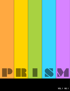

**VOL. 1 NO. 1**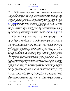www.ontc-prism.org

# **ONTC PRISM Newsletter**

## Dear ONTC Members,

A warm welcome from the Editorial desk of the ONTC's newsletter "Prism". The telecommunication world has seen significant development in the past few years. From the days of the dot-com bubble burst, followed by the so-called photonic winter, our industry has survived and succeeded to scale new heights. Emergence of new technologies and business cases in both the developed and the developing world has meant proliferation of optical networking solutions towards the end-user. It is this proliferation that we seek to cover and enhance through this newsletter. The focus of this newsletter is to bring together industry, academia and government as well as other stake holders of optical networking and high-speed telecommunications. To this end, we will send this newsletter to the ONTC mailing list as well as to other targeted readers on a quarterly basis. ONTC PRISM has a website at www.ontc-prism.org. Readers are welcome to email the Editor with information or articles or even observations that affect the telecommunication industry. We do ask though, that readers keep their messages relevant to the mandate of the ONTC. Prism has a unique *technical advisory board* or TAB. The TAB consists of distinguished folks from industry and academia across different continents giving Prism significant diversity and a broad coverage focus. TAB members are responsible along with the editor for content in Prism. Typically, we envisage a TAB member to be in-charge of a particular issue. We encourage ONTC members and others to send in articles of 2-3 page limit of relevance to the growth of telecommunications to us. Articles should be emailed to submissions@ontc-prism.org. A TAB member will be assigned to review the article, and typically will solicit 2-3 independent reviews. To begin with we will have a list of open topics soliciting articles. For example, the next issue (for Feb 2010), will have articles focused on data-centers.

In the first issue, we have invited articles that cover the exciting optical access market. The optical access market is particularly important as it has direct impact on the end-user. Passive Optical Networks (PONs) are being rapidly deployed in almost every major country. Gone are the days when there was some doubt about the business case of PON – it is now almost a necessity to meet the true needs of residential broadband. In fact, when compared with WiMax, PONs have certain OPEX advantages that are currently being researched upon by various groups in North America and Europe. The first article is by Marek Hadjuczenia and Henrique da Silva from ZTE. The article called Next-generation PON - a quick look at current status, focuses on next generation PON standards and discusses the happenings of the industry in detail. The second article is by Wang Bo from China Telecom – one of the largest deployers of PON in Asia. Wang Bo describes China Telecom's role in furthering PON technology as well as how the recently emerged 10 Gb/s GE PON standard (IEEE 802.3av) is being pursued.

We move from the access towards the metro, where we have an article by Abhay Karandikar and Vinod Kumar from IIT Bombay, where they describes the recent standardization effort in the Carrier Ethernet community. Carrier Ethernet is an increasingly important technology for metro and access networks – poised to replace SONET/SDH and become the de facto WDM overlay in the years to come. This article shows some of the opportunities that exist for academic and industry researchers. References at the end of the article will guide the interested reader to the various standardization bodies across the broad spectrum of Carrier Ethernet.

Talking of standardization, one cannot but appreciate the work done by the IEEE in making Ethernet such a prolific technology over the past many years. From Bob Metcalfe's invention to the present day, Ethernet has traversed a long and successful journey. As mentioned by Bob himself, in the OFC 2008 keynote, one of the key reasons behind the success of Ethernet is active standardization in the IEEE. To discuss the happenings in today's 802.3 and 802.1 standard bodies, we have an article from Wael Daib who is also the Vice-Chair of the 802.3 Ethernet working group within the IEEE. The article describes the multiple active bodies within the 802.3 standard group as well as gives an overview of the advances made by the working group. The last article is a letter written by Admela Jukan and myself – a letter to the community describing the challenges that we face in the next 1-5 years. The objective of the letter also coincides with the reasons as to why we do have this newsletter and we do encourage readers, especially from the academic community to identify challenges based on our observations.

Interested authors who would like to send in an article, are welcome to send a 3 page (single column, 10 point font, with all one-inch margins) to submissions@ontc-prism.org. The deadline for reception of articles is December 15, 2009. On behalf of the TAB we are thankful to the IEEE Communication Society as well as to the ONTC officers Jason, Byrav, Suresh and Dominic who have supported us in making this newsletter happen. It is our hope that the newsletter would bring the community together and identifying areas of growth and common interest. It is often said that the previous century was one of innovation – and if that is so, then this century is opined to be one of collaboration. It is hence our sincere hope that PRISM does become a vehicle of collaboration – of ideas and through processes in leading this fast moving industry. Ashwin Gumaste, IIT Bombay.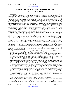# **Next-Generation PON – A Quick Look at Current Status**

#### **Marek Hajduczenia and Henrique J. A. da Silva**

Introduction – the continued increase in bandwidth demand in the first mile, as observed in recent years, is a direct result of the growing number of residential and business customer applications relying on high speed IP-level connectivity, which forces service providers to increase the capacity of their access infrastructure, providing more bandwidth to end subscribers, making fibre-based access the technology of choice for many of forward-looking operators. Given the rapidly growing market penetration of existing, first-generation Passive Optical Network (PON) technologies, with more than 30 million customers connected worldwide using various xPON flavours (primarily EPON, BPON and G-PON, ordered decreasingly in terms of market adoption), it is commonly believed that in the next 2-3 years, current xPON deployments will have to be migrated to higher bandwidth solutions. That is why various Standard Development Organizations (SDOs) have already started working on extending existing PON solutions to meet the anticipated operator and customer requirements for nG-PON systems. The term 'nG-PON' is used here to collectively refer to IEEE 10G-EPON and ITU-T NG-PON systems, while the term 'NG-PON' is used to collectively refer to ITU-T NG-PON1 (including XG-PON1 operating at the nominal data rate of 10 Gb/s in downstream and 2.5 Gb/s in upstream, as well as XG-PON2 operating at 10 Gb/s in both downstream and upstream channels) and NG-PON2 systems to provide differentiation between both solutions.

10G-EPON status – IEEE 802.3 Working Group started development of 10G-EPON in 2006Q3, when first a Study Group and then the P802.3av Task Force were created after a very successful Call for Interest (CFI), supported by a large number of companies and several operators with and without existing 1G-EPON deployments. They are interested in the proliferating Ethernet-based access network architecture, representing a natural bridge between LAN and MAN networks also based primarily on Ethernet technology. The approval of IEEE 802.3av 10G-EPON standard on the  $11<sup>th</sup>$  of September 2009, the numerous and geographically varied attendance of the meetings, the deep involvement of many companies and commercial availability of 10G-EPON equipment from the first system suppliers come as a result of more than three years' worth of continuous work of a dedicated group of experts. As the first Ethernet-based networking solution, 10G-EPON supports both symmetric and asymmetric line rate operations, where the symmetric option (10/10G-EPON) operates at 10 Gb/s in both downstream and upstream directions, while the asymmetric option (10/1G-EPON) operates at 10 Gb/s downstream and 1 Gb/s upstream, driven by the fact that IP video services create bandwidth pressure mostly in the downstream direction and taking advantage of low-cost and more mature 1G-EPON burst mode optics. The major technical features of the finalized 10G-EPON system include therefore:

• The downstream wavelength band ranges 1575 - 1580 nm, relying on high-power (cooled) laser sources, most likely in the form of post-amplified Externally Modulated Lasers (EMLs);

• The upstream wavelength for 10 Gbit/s data channel ranges from 1260 to 1280 nm (coexistence with 1G-EPON guaranteed by dual-rate TDMA scheme), relying on high-power (un-cooled) Directly Modulated Lasers (DMLs) already available on the market. 1 Gbit/s upstream links use the 1G-EPON band, i.e. from 1260 to 1360 nm, reusing exactly the same, cost-effective components without the need for requalification.

• Mandatory stream-based FEC in all 10 Gbit/s links, based on the RS(255,223) code, which has better error correction properties (optical gain around 4 dB compared with 3 dB of RS(255,239) FEC used in 1G-EPON) than FEC used in 1G-EPON (accepts raw BER of  $2.2 \times 10^{-3}$ ), though has higher transmission overhead (approximately 12.9% compared with 6.7% for RS(255,239) used in 1G-EPON).

• Inherent support for coexistence with 1G-EPON on the same ODN, through careful redesign of MPCP functions (such as discovery process, registration, etc.), utilization of a common time-reference unit (time quantum of 16 ns), as well as technical issues in the PHY layer (dual-rate burst-mode receiver at OLT, etc.);

• More flexible upstream data burst timing, where ONU laser on/off times can be negotiated between an ONU and the OLT, depending on the quality of the burst-mode receiver at the OLT and on the design of the ONU laser driver. The fixed laser on/off time set in 1G-EPON was found too inefficient to be mandated in this next generation access system. Practical analysis of the PMD subcomponents indicate that there is no technical difference in terms of laser diode and laser driver design between 1.25 Gbit/s and 10.3125 Gbit/s devices, and thus it is expected that 10G-EPON PMDs will have similar parameter values. T

• Compatibility with mass produced 10 Gbit/s P2P Ethernet components (Ethernet switches, some elements of optics, etc.) means that the necessary supplier ecosystem is already in place at this time.

Mature 1G-EPON systems with 1 Gbit/s symmetric bandwidth have been in mass deployment worldwide since 2004, supporting all possible existing diverse applications, including TDM and mobile backhauling, known for their high QoS requirements. For this reason, IEEE 802.3av 10G-EPON standard was focused on enabling a seamless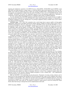upgrade and simultaneous operation of all EPON flavours (10/1G-EPON, 10/10G-EPON and 1G-EPON) on the same ODN, providing operators a unique chance to extend the ROI for their newly deployed fibre networks. 10G-EPON can be rolled out without the need to replace any existing 1G-EPON ONUs, minimizing the truck rolls and lowering the cost of migration to higher data rate system. Providing 10 times more raw bandwidth than the current 1G-EPON, 10G-EPON will deliver the bandwidth required by the next-generation applications, following an evolutionary scenario rather than forcing operators to completely replace legacy 1G-EPON equipment.

It is also anticipated that 10G-EPON equipment will follow the path of 10–fold capacity increase at roughly 3 times the port price (expected to be achieved around 2011 under current deployment scenarios), so characteristic of all Ethernet equipment in the past, though prices for prototype equipment already available from several vendors may indeed exceed this threshold.

NG-PON1 status – ITU-T SG15 Q2 community took a much longer time to react to rapidly evolving market requirements, mainly due to the higher downstream channel capacity available in G-PON systems (series of ITU-T G.984 Recommendations). However, initial stages of work on NG-PON systems (specifically NG-PON1) as well as development of G.987 series draft with 2009Q4 – 2010Q3 approval period, are under way. Current discussions (as for September 2009) and the quantity of technical issues remaining to be resolved at the PMD layer cast some shadow of doubt over the planned consensus schedule, especially taking into consideration that more complex tasks are yet ahead of the community. Development of the NG-PON1 system started during the May 2009 meeting of ITU-T SG15 Q2 in Geneva, Switzerland, which is currently working towards consensus on initial draft versions of G.987 series, describing an XG-PON1 system. The XG-PON2 system was dropped out of the scope of G.987 series and may be added in the (uncertain) future, once operators' interest in this access technology becomes more mature.

Technically speaking, an XG-PON1 system is currently viewed as a higher-speed G-PON, operating at the nominal data rate of 10 Gb/s in the downstream and 2.5 Gb/s in the upstream. The bandwidth asymmetry of 1:2 in G-PON was increased to 1:4 in XG-PON1, taking into consideration arguments from operators, indicating that the upstream channel capacity in G-PON was too high when compared with the downstream channel. Additionally, it is expected that the cost of 2.5G burst-mode solutions will be somewhat lower than that of 5G or 10G solutions, which at this time remains yet to be verified on a commercial scale. For now, two power budgets have been defined and consented so far, i.e. Nominal1 (N1), with 29 dB insertion loss, and Nominal2 (N2), with 31 dB insertion loss. The Extended (E) power budget is yet under discussion, with the insertion loss ranging between 33 and 35 dB, depending on the target application and compatibility with the Nominal power budget of choice. Along with the definition of the power budgets, link specification was created, producing so far only N1 (with APD ONT) and N2 (with APD and PIN ONT) class downstream link and corresponding upstream link for both power budgets. The E class power budget is reserved for further study (FFS), considering the lack of consensus on this topic.

The TC layer framing is not expected to change much in XG-PON1 system and still relies on 125 µs framing, providing a precise 8 kHz clock signal for all connected ONTs. Despite multiple arguments brought to the attention of the community against the use of such strict framing format for transmission of variable size IP frames, which ultimately increases the system cost and limits the functional integration at the ONU and OLT devices, this specification of the G-PON system will most likely be reused with no changes at all. Likewise, the concept of GEMlike encapsulation will also be reused in XG-PON1 (called XGEM), with several minor changes which are still to be discussed in the future i.e. extension of the XGEM header, alignment of XGEM size to multiples of 4 bytes (32 bits) to facilitate underlying physical implementation, definition of new applications for certain fields inside of XGEM header, etc.. This means that the XGEM channel in XG-PON1 may play multiple functions, including transfer of encryption related information (key index). Likewise, proposals for redefinition of the PLOAM channel were also presented to the community, where PLOAM control messages would be carried over dedicated XGEM ports rather than in specialized structures inside of the 125 µs framing. Due to controversy of such a proposal and being a fundamental change in the PLOAM channel character, further discussion on this topic will be needed in the near future. XG-PON1 system security represents yet another area where extensive development is expected in the coming months. Some operators submitted proposals for extension of existing G-PON security models, where only the downstream data channel was subject to encryption. However, in face of the evolution of security threats and malicious activity on the networks, upstream channel encryption as well as mutual ONT – OLT authentication become pivotal for a successful access network.

FEC for XG-PON1 is also generating very hot discussions. Proponents of reusing existing solutions opt for RS(255,223) for the downstream link and RS(255,239) for the upstream link, while several companies show interest in modified or truncated FEC codes, which have not been used in any commercial equipment until now. Given that the problem of truncated FEC word support was already resolved in G-PON, it is not certain what the advantages of using brand new FEC codes really are. The majority of polled IC vendors prefer to reuse the existing FEC design blocks rather than having to redesign them and test implementation afterwards.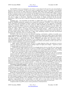The XG-PON2 system was announced as out of focus or of no interest for the next few years, due primarily to the lack of interest in symmetric, 10 Gb/s access system, as publicized by some of the operators. It was originally planned to have the first two drafts approved by September 2009 (future G.987.1 and G.987.2 specifications), though the amount of discussion in the community on the characteristics of the XG-PON1 PMD sublayer created at the time a potential for delay of such a document. The XG-PON1 specifications for the TC layer (XTC) and OMCI control planes (G.987.3 and G.987.4, respectively) are planned for consensus in 2010Q3, though again this target date may be subject to fluctuations, depending on the quantity of changes introduced into the TC layer specifications. OMCI at this time is expected to remain pretty much unchanged, when compared with G-PON Rec. G.984.4.

NG-PON2 status – both 10G-EPON and NG-PON1 are TDMA PON systems, operating at a higher data rate though not changing dramatically anything in the existing PON architecture. NG-PON2, as the long-term target access architecture, the development of which is slated for the period after year 2015, represents a revolutionary rather than evolutionary approach to first mile connectivity. While 10G-EPON and NG-PON1 reuse much of the existing, first-generation xPON architecture, inherently including the Outside Distribution Network (ODN), NG-PON2 will require complete make-over of the deployed fibre, especially in terms of replacing passive optical combiners / splitters with e.g. wavelength routers (Arrayed Waveguide Gratings – AWG) or even more exotic solutions, currently under intensive academic research. The precise adoption and specification timeline depends on the actual market demand, which at this time is rather weak considering economic slow-down and decreased demand for new deployments and access technologies alike.

NG-PON2 at this time does not have any preferred technology, and therefore a plethora of possible access system implementations were submitted for community consideration, ranging from higher capacity multi-channel TDMA-PON (e.g. 40G PON, operating on a single wavelength though with different modulation formats, known only from long-haul or experimental trials), through WDM-PON, and ending with such exotic systems as (O/E)CDMA-PON with dynamic code allocation or even OFDMA-PON. Each of these architectures features a number of technical challenges which need yet to be addressed by industry and academia, in order to provide a costeffective solution suitable for access network development:

higher capacity TDMA-PON systems will have to combat dispersion effects and reduction in receiver sensitivity, which beyond 10 Gbit/s begin to challenge support for higher power budgets – targeted by carriers to guarantee higher port densities at the CO sites.

• WDM-PON will remain troubled by the use of wavelength selective devices at the ONU side. Despite rapid progress in colourless ONU transceivers (via the use of R-SOA devices or tuneable lasers), such solutions remain at this time prohibitively expensive when compared with existing TDMA-PON transceivers, thus failing to meet the test of cost-efficiency that so many technologies have already failed in the access domain.

More exotic approaches, mainly in the form of (O/E)CDMA-PON systems, have the form of research projects at this time, with numerous technical and system-level challenges, struggling with basic research and material limitations, and imposing constraints that typical PON architectures have never faced before.

From the existing NG-PON2 technologies, at this time WDM-PON seems to have the brightest commercial future, provided that emerging customer applications demand provision of dedicated high capacity bandwidth pipes to each customer. A few commercial WDM-PON systems are already available for deployment, though their market share is very limited to small trials only and non-residential applications, mainly due to weak operator interest, high deployment and maintenance costs (running typically 6 – 10 times cost per bit for TDM-PON), as well as lack of residential user demand, except for business customers, who are nowadays typically served with P2P solutions.

Convergence of nG-PON standards – at this time, it is not clear how much convergence between both nG-PON systems (i.e. 10G-EPON and XG-PON1) will be achieved in practice, though efforts have been made to bring both standardization groups together in order to discuss potential alignment at both PHY and MAC levels. Both SDO groups held joint workshops and expressed interest in coordination of their work for the common benefit of future customers of nG-PON technology. Given that the 10G-EPON standard was approved in September 2009 and no technical changes can be introduced now, any convergence efforts are restricted at this time to XG-PON1 only.

Despite the aforementioned high-level intentions towards alignment of both standards, the current status of draft G.987.2 seems to indicate that the convergence between both said systems will not be achieved in practice, given such basic differences as data rate selection, FEC codes, XTC framing layer in XG-PON1, or even persistent support for 125µs framing, resulting in a number of specific differences in operation between both discussed systems. Given the rejection of multiple attempts to reuse 10G-EPON as a transport layer for the nG-PON converged access system, achieving a single standard seems very improbable as for today, and so we may witness one more chapter of the EPON versus G-PON marketing war, which we all have seen waged in mass media for several years.

Comparison table for ng-PON systems (various generations) is illustrated below: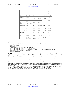# www.ontc-prism.org

|                                  | G-PON                                      | 1G-EPON                                       | 10G-EPON                                | NG-PON1                               | NG-PON2                 |
|----------------------------------|--------------------------------------------|-----------------------------------------------|-----------------------------------------|---------------------------------------|-------------------------|
| LEVEL 1 (PHY) PARAMETERS         |                                            |                                               |                                         |                                       |                         |
| Downstream [Gbit/s]              | 1.244/2.488                                | 1.25                                          | 10.3125                                 | 9.952                                 | $-1/$<br>customer       |
| Upstream [Gbit/s]                | $0.155^{[1]}$ /0.622 <sup>[1]</sup> /1.244 | 1.25                                          | 1.25/10.3125                            | 2.488 / TBD <sup>[10]</sup>           | $-1/$<br>customer       |
| Line Coding                      | <b>Scrambled NRZ</b>                       | 8b/10b                                        | $64b/66b^{[2]}$                         | Scrambled NRZ                         | Unknown[10]             |
| Channel Insertion<br>Loss $[dB]$ | $A: 20, B: 25 B + 28$<br>$C: 30, C+32$     | PX10:20<br>PX20:24<br>PX30: 29 <sup>[3]</sup> | PR(X)10:20<br>PR(X)20: 24<br>PR(X)30:29 | N1: 29dB<br>N2: 31dB<br>E: 33-35dB[9] | $TBD^{[10]}$            |
| Laser on/off                     | $\approx$ 13 ns                            | 512 ns                                        | 512 ns                                  | $TBD^{[9]}$                           | Unkown<br>$TBD^{[10]}$  |
| $\mathrm{AGC}^{[4]}$             | 44 ns                                      | $< 400$ ns                                    | $< 400$ ns                              |                                       |                         |
| $CDR^{[5]}$                      |                                            | $< 400$ ns                                    | $< 400$ ns                              |                                       |                         |
|                                  | LEVEL 2 (MAC AND ABOVE) PARAMETERS         |                                               |                                         |                                       |                         |
| Payload encapsulation            | <b>GEM</b>                                 | Ethernet +<br>LLID                            | Ethernet + LLID                         | <b>XGEM</b>                           | Unknown <sup>[10]</sup> |
| Frame Fragmentation              | Yes                                        | No                                            | N <sub>0</sub>                          | Yes $(? - TBD)^{[9]}$                 | Unknown[10]             |
| Max Logical Reach<br>[km]        | 60                                         | unlimited                                     | unlimited                               | $60 (?) - TBC$ <sup>[9]</sup>         | Unknown <sup>[10]</sup> |
| Max Logical Range<br>[km]        | 20                                         | unlimited                                     | unlimited                               | $20 (?) - TBC$ <sup>[9]</sup>         | Unknown[10]             |
| Max Logical Split                | $128^{[7]}$                                | 32767[7]                                      | 32513[8]                                | >128                                  | >128                    |
|                                  | STANDARD MATURITY AND MARKET SITUATION     |                                               |                                         |                                       |                         |
| Maturity                         | G.984 under<br>extension                   | released<br>09.2004                           | released 09.2009                        | 2010/2011 (?)                         | 2015(?)                 |
| Market                           | US and Europe, trials<br>in APAC (limited) | APAC, NA,<br>East Europe                      | APAC, NA, East<br>Europe                | Target US and<br>Europe, APAC<br>(?)  | Unknown                 |

*Legend:* 

[1] Deprecated.

[2] 64bit/66bit is used for 10.3125 Gbit/s links. 1.25 Gbit/s links use 8bit/10bit encoding of 1G-EPON.

[3] Never officially specified.

[4] Automatic Gain Control.

[5] Clock Data recovery.

[6] TC layer limited to 128 (127 ONU IDs can be used in practice).

[7] Limited by LLID address space of 215-1 (1 LLID reserved for broadcast).

[8] Limited by LLID address space of 215-255 (2 LLID reserved for broadcast, 253 LLIDs reserved for future system extensions).

[9] Partial consensus at this time or discussions are under way.

[10] Discussion to be started in 2010.

**Marek Hajduczenia** received his MSc and Engineer diplomas in electronics and telecommunication, specialization - optical transmission systems, from Technical University in Bialystok in 2003. In 2008 he received the Ph. D. degree in telecommunications from University of Coimbra, Department of Electrical and Computer Engineering.

Currently, he is working for ZTE Corporation at the position of xPON Standardization Director and is involved in research and development of next generation PON systems. His main research interests include self-similar stochastic processes, control management layer and security for optical access networks, IPv4/IPv6 transition problems, optical burst switching and many more.

He is involved in the IEEE 802.3 (assistant editor for former P802.3av 10G-EPON Task Force) as well as FSAN/ITU-T projects (NG-PON work group at FSAN, Q2/SG15 at ITU-T). He is also a member of the IEEE Communication Society (ComSoc).

Henrique J. A. da Silva received the Ph. D. degree in communication systems engineering from the University of Wales, United Kingdom, in 1988. Since then he has been with the Department of Electrical and Computer Engineering at the University of Coimbra, where he is now an associate professor.

He is the leader of the Optical Communications Group of the Institute of Telecommunications at Coimbra, Portugal, since 1992. His research interests include optical and mobile communication systems, with emphasis on photonic devices and optical networks.

He is a member of the Optical Society of America (OSA) and of the IEEE Communications and Photonics Societies.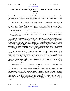# **China Telecom Views 10G-EPON as a Key to Innovation and Sustainable Development**

## **Wang Bo**

Upward of 50 million broadband subscribers, today China Telecom represents the largest broadband network in the world. And while the number of fixed-line telephone subscribers has declined in 2008 from 220 to 208 million, the number of broadband subscribers has been growing by approximately 8 million annually for the last 5 years. China Telecom expects this number to reach 75 million by 2011.

Understandably, China Telecom takes very seriously the choice of the broadband technology capable of sustaining such aggressive growth targets. In making its choice, China Telecom focuses on service capabilities, technology maturity, capital and operational costs, and future evolution. In most green field deployments, China Telecom has stopped deploying copper lines, instead preferring Passive Optical Network (PON) to the building, with regular Ethernet reaching the subscriber (FTTB + Ethernet). In high-end deployments, FTTH is used with fiber reaching individual subscribers. While retrofitting existing deployments, the preferred architecture includes PON to the building followed by  $DLS$  (FTTB +  $DSL$ ).

China Telecom has started evaluating various PON technologies in summer of 2005. This work has focused on Ethernet Passive Optical Networks (EPON) standardized by the IEEE and on Gigabit Passive Optical Networks (GPON) standardized by the ITU-T.

To fully develop and evaluate EPON capabilities, China Telecom has formed and chaired a working group that included four EPON ASIC vendors and six EPON system vendors. This group has produced a comprehensive EPON system-level specification that included such features as security, protection, VLAN modes, multicast support, QoS mechanisms, and Multi-Point Control Protocol (MPCP) discovery enhancements. In parallel, interoperability tests events were conducted, first among the chip vendors and then among the system vendors. In the first half of 2007, China Telecom has become the first carrier in the world to demonstrate large-scale, comprehensive chip-level and system-level EPON interoperability. Correspondingly, encouraged by the emergence of a healthy EPON ecosystem, China Telecom and other Chinese carriers have begun mass-deployment of EPON technology. EPON is also deployed in large volumes in Korea and Japan.

The work has also continued on evaluating the capabilities and maturity of GPON equipment by carrying out GPON tests once per year since 2005. China Telecom is conducting a GPON field trial with about 3000 subscribers this year. While GPON vendors have made good progress over the last few years, the full potential of this technology has not been fully realized yet. There exist only few commercialized ASICs, especially for the Optical Line Terminal (OLT) side of the network, and the interoperability efforts have not been successful. With 16 million Chinese subscribers expected to be served by EPON by the end of 2009, issues of sustainability and upgradability are becoming very important. One of the distinctive features of EPON and the recently-standardized 10G-EPON technologies is their ability to coexist on the same network and support for smooth upgrade without network-wide service interruption.

CTC engineers have tracked the progress of 10G-EPON standard in IEEE and in June 2009, China Telecom co-hosted the IEEE 802.3av task Force meeting in Shanghai.

In July 2009, China Telecom has conducted the 10G-EPON chip-level interoperability test, the first such event worldwide. The tests were performed with asymmetric version of 10G-EPON (10Gb/s downstream and 1 Gb/s upstream data rates) and covered interoperability at the physical and MAC layers, FEC, MPCP, normal and extended OAM discovery, remote management, coexistence with previous-generation EPON, and performance measurements. All four chip vendors have demonstrated satisfactory progress. The second round of the chip-level interoperability test is planned in November 2009, this time covering the symmetric 10G-EPON. China Telecom hopes to carry out the system-level test interoperability in the first quarter of 2010, trying to achieve full 10G-EPON interoperability in the first half of 2010. Commercial deployments of 10G-EPON are anticipated in the second half of 2010.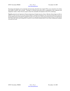Increasing and changing service demands and increasing subscriber base require FTTx access networks to be robust and reliable, flexible, and evolvable. Through its consistent innovation and in collaboration with component and equipment vendors, China Telecom experts ensure the sustainable development of the FTTx technology.

**Wang Bo** graduated from the Department of Electronic Engineering of Tsinghua University, China in 1998 with a Masters Degree. In 2004, he studied in Coventry University, UK, receiving a Masters Degree of Communication Management. Since 1998 when he joined China Telecom, he has been engaged in the research and project management on DSL access, fiber access, wireless access and home network. He also organized and participated in specifications formulation, equipments evaluation, new technologies trial and formulation of technical strategies of China Telecom in the related fields. He has been assuming the vice director of Access Network Working Group of CCSA (China Communications Standards Association) since 2003.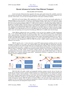www.ontc-prism.org

# **Recent Advances in Carrier-Class Ethernet Transport**

#### **Abhay Karandikar and M Vinod Kumar**

In the last decade, Ethernet has been upgraded with many carrier grade features like scalability, protection and restoration and operations, administration and maintenance (OAM) making it an ideal packet transport for core networks. In this article, we review these developments that have taken place in Ethernet standards.

IEEE 802.1ad Provider Bridges (PB) standardized in 2005 [1] was the first step towards applications of Ethernet Bridges in service providers' networks by separating the Customer virtual LAN (VLAN) from the service provider VLAN (S-VLAN). However, it still suffers from scalability problem. This problem was addressed in IEEE 802.1ah Provider Backbone Bridging (PBB) [2]. A PBB network comprises of Backbone Edge Bridges (BEB) and Backbone Core Bridges (BCB). Customer frames are encapsulated/de-capsulated at the BEB with Backbone Source MAC address (B-SA), Backbone Destination MAC address (B-DA), Backbone Service Identifier (BSI-ID or I-SID) and a Backbone VLAN ID (B-VID). While B-SA and B-DA are the MAC addresses of ingress and egress bridges within PBBN, 24 bit I-SID identifies the service in the PBB network. By separating the customer and provider MAC address space and separating service tag from forwarding tag, PBB leads to a scalable metro network design.

While PBB has addressed the issue of scalability, it does not have the capability of Traffic Engineering (TE). A new standard IEEE 802.1Qay [3] ratified recently in June 2009, addressed this problem by establishing traffic engineered paths called Ethernet Switched Paths (ESP). This is achieved by disabling source MAC address learning, discarding frames destined to unknown destination MAC address and disabling spanning tree for a range of B-VID (called ESP-VID) in PBB and configuring them by an external management plane or control plane. Along with Connectivity Fault Management (CFM) [4], PBB-TE provides a highly scalable architecture for deploying Ethernet in core network.

PBB-TE specifies only 1:1 end-to-end point to point (P2P) tunnel protection switching and does not take advantage of possibility of local repair. New ongoing IEEE project 802.1Qbf PBB-TE infrastructure protection switching [5,6] addresses the relatively high failure rate of particular links or bridges within a network in an efficient way by performing local repair. A sequence of LAN ports (called Infrastructure Segment) over which at-least one PBB-TE tunnel is configured are identified and monitored through continuity check messages (CCM) (Refer Figure 1). Upon absence of CCM, tunnels are diverted (without altering the end-to-end tunnel identifier) from working/primary infrastructure segment (WIS) to backup infrastructure segment (BIS) (Refer Figure 2). WIS and BIS together form a segment protection group (SPG). Infrastructure Protection is applicable for both P2P and branches of Point to Multipoint (P2MP).



IEEE 802.1Qbf will enable scalable and manageable backbone transport network. Service Provider can locally and cost-effectively protect a group of tunnels flowing over an infrastructure segment without modifying the tunnel identifier. Further, fault localization is still possible because tunnel identifier is not changed for customer frames and is globally unique thereby offering a true carrier class local-restoration functionality. Service Providers can perform maintenance activities in one infrastructure segment of a network without disabling protection in another infrastructure segment. IEEE 802.1Qbf (as of October 2009) is still work under progress and expected to be complete by 2010. In summary, these significant amendments to Ethernet will lead to a truly scalable carrier class Ethernet with protection and manageable transport network.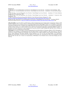REFERENCES

[1] IEEE 802.1ad, "Local and Metropolitan Area Networks, Virtual Bridged Local Area Networks – Amendment 4: Provider Bridges", 2005. [2] IEEE 802.1ah, "Local and Metropolitan Area Networks, Virtual Bridged Local Area Networks – Amendment 6: Provider Backbone Bridges", 2008.

[3] IEEE 802.1Qay, "Local and Metropolitan Area Networks, Virtual Bridged Local Area Networks – Amendment 10: Provider Backbone Bridging with Traffic Engineering", 2009.

[4] IEEE 802.1ag, "Local and Metropolitan Area Networks, Virtual Bridged Local Area Networks – Amendment 5: Connectivity Fault Management", 2007.

[5] PBB-TE Infrastructure Protection Proposed PAR, IEEE 802.1 May 2009 Interim Meeting, Pittsburgh, PA., USA,

http://www.ieee802.org/1/files/public/docs2009/new-sultan-infrastructure-segprot-proposed-par-0509-v05.pdf, 2009.

[6] IEEE 802.1Qbf "Draft PAR for Local and Metropolitan Area Networks, Virtual Bridged Local Area Networks – Amendment: PBB-TE Infrastructure Segment Protection", http://www.ieee802.org/1/files/public/docs2009/new-qbf-jeffree-draft-par-0609-v01.pdf, 2009.

**Abhay Karandikar** received his M.Tech. and Ph.D degrees in Electrical Engineering from the Indian Institute of Technology, Kanpur in 1988 and 1994, respectively. He is currently a Professor in the Department of Electrical Engineering, IIT Bombay. At IIT Bombay, he started many technology development projects, including the one on Open Source MPLS and Linux based MPLS emulator. He co-founded the venture backed company Eisodus Networks. He is currently leading TTSL-IIT Bombay Center for Excellence in Telecom. His research group at IIT Bombay is focused on resource allocation in wireless networks. He has made several contributions to IEEE 802.1 and 802.16m WiMAX standards. Dr Karandikar has lectured extensively in various international fora and given tutorials in IEEE GLOBECOM, MILCOM. He has consulted for industries in the area of communications and networking.

**Vinod Kumar** received his B.Tech degree in Electrical Engineering from the Indian Institute of Technology, Madras in 2003. Subsequently, he completed his post graduation in Telecommunication from the Indian Institute of Science, Bangalore in 2005. Since then he is with Tejas Networks Ltd. working in Standards and Technologies Team. His primary focus is Optical Transport systems, Protection Switching, Quality of Service, Traffic Engineering, Networking Algorithms, Wireless Backhaul for 2G, 3G, 4G, Wi-Fi and mobile-WiMax, L2-L3 interworking, IP/MPLS and Carrier-Ethernet. Towards this end, he has applied for several patents. Mr. Vinod Kumar has made several contributions towards IEEE 802.1Qbf. His other areas of interest are Synchronization, TDM-Ethernet Circuit Emulation Service, Data-Centre Bridging and Loadbalancing.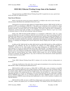# **IEEE 802.3 Ethernet Working Group: State of the Standard**

## **Wael William Diab**

The past decade has seen IEEE's Ethernet Working Group (802.3) expand into new areas, specify faster speeds and enable new application spaces.

## **Major Recent Milestones:**

Before we get into the current active projects within 802.3, its helfpul to take stock in some of the major milestone projects that Ethernet has underdaken in the last few years.

Following the successful and widely deployed 10 Gigabit Ethernet interfaces, IEEE Std 802.3af-2003 was published in 2003 as an amendment to IEEE 802.3.\* This project was revolutionary in that it enabled low-voltage DC power to be carried over the Ethernet infrastructure thereby enabling, what has become common place in today's Enterprise networks, converged VoIP (Voice over IP) telephony. The result of which has been a consolidation in infrastructure, and thus lower CapEx and OpEx costs for Enterprise IT networks. Moreover, it gave way to many revolutionary features in VoIP and video technology within the Enterprise.

Shortly after, IEEE Std 802.3ah-2004 published as an amendment to IEEE 802.3.\* This was a major project that addressed a new space for Ethernet, namely the service provider access space by introducing a family of technologies that addressed the varied geographic and bandwidth needs; interfaces from high speed Ethernet over DSL copper links to point to point optical and point to multi-point optical links (EPON). In addition, the Ethernet in the First Mile amendment introduced an operations, administration and management technology (OAM) that aides deployers in managing and debugging their network deployments thereby bringing down the OpEx cost of their networks.

In 2006 and 2007, IEEE Std 802.3an-2006, IEEE Std 802.3aq-2006, IEEE Std 802.3as-2006 and IEEE Std 802.3ap-2007 were published. The first two introduced new interfaces for 10Gb/s Ethernet, specifically a 10GBASE-T interface over the widely popular twisted pair copper infrastructure and 10GBASE-LRM, a serial optical interface at 1310 nm over multi-mode fiber such as OM1, OM2 and OM3. .3as expanded the frame format of Ethernet to allow for additional extensions via an envelope frame that could be used by higher layer encapsulation protocols such as those defined by the IEEE 802.1 Working Group, ITU-T or IETF while retaining the same basic frame format for carrying Ethernet data. Finally, Ethernet entered another new area by specifying backplane connectivity technology with the publication of .3ap, some of which have been referenced by outside organizations for media connectivity such as SFP+.

## **Current Projects:**

Today, IEEE's Ethernet Working Group (802.3) continues to be very busy with new exciting projects on the horizon.

At the time of publication of this article, three recently approved amendments to the current base document, IEEE Std 802.3-2008, are undergoing the publication process.

IEEE Std 802.3av-2009, also known as 10Gb/s PHY for EPON, adds a series of interfaces to the EFM family aimed at emerging applications such as higher definition content distribution for video on demand (VOD) in the consumer market, support for multi-dwelling unit deployments with a large number (64-128) of subs per ONU and wireless backhaul. The standard specifies new 10Gb/s interfaces that are defined for 3 optical power budgets supporting split ratios of 1:16 and 1:32, and distances of at least 10 km and 20 km. It is also noteworthy to mention that the 10GEPON project allows for an evolutionary upgrade path where 10GEPON systems can coexist with previous generation 1GEPON systems allowing mixed deployments as well as 10G/1G interfaces in addition to the 10G/10G interfaces.

IEEE Std 802.3at-2009, also know as DTE Power Enhancements and sometimes informally reffered to as "PoE Plus", enhances the popular power over Ethernet technology. The standard increases the available power to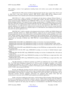25W, enabling a variety of new applications including feature rich wireless access points with multiple radio technologies.

IEEE Std 802.3bc-2009 contains the Ethernet Organizationally Specific Type, Length, Values (TLVs) used by IEEE 802.1's Link Layer Discovery protocol. IEEE 802.3bc enables IEEE 802.3at's enhanced powermanagement features such as dynamic power allocation and negotiation down to 1/10th of a Watt.

IEEE P802.3az<sup>TM</sup>, which is currently in development and also known as Energy Efficient Ethernet, is targetted at saving energy in Ethernet networks on a select group of PHYs. The PHYs selected for work in this project include the popular 100BASE-TX and 1000BASE-T PHY as well as the emerging 10GBASE-T technology and the backplane interfaces. The method of power savings currently planes is a technique known as Low Power Idle (LPI), which takes advantage of low utilization (high idle time) that is characteristic of many Ethernet networks, while allowing for very rapid transitions back to the active state for data transmission. IEEE P802.3az is also currently planning to use 802.3bc for its enhanced power-saving modes that allow for power savings beyond the PHY layer. The enhanced capability has a dynamic aspect to it so that behaviors can be adjusted over the life of the link and for the specific application in use.

IEEE P802.3ba™, which is currently in development and also known as 40Gb/s and 100Gb/s Ethernet and sometimes informally referred to as "Higher Speed Ethernet", targets the next two speed increases for Ethernet. Emerging applications that have been demonstrated to need bandwidth beyond the existing capabilities such as data center, internet exchanges, high performance computing and video-on-demand delivery. The specification of two new rates rather than a single higher speed rate is in recognition that network aggregation and end-station bandwidth requirements are increasing at different rates. IEEE P802.3ba is currently planning on defining the following interfaces:

- 40GBASE-KR4 40 Gb/s PHY using 40GBASE-R encoding over four lanes of an electrical backplane.

- 40GBASE-CR4 40 Gb/s PHY using 40GBASE-R encoding over four lanes of shielded balanced copper cabling.

- 40GBASE-SR4 40 Gb/s PHY using 40GBASE-R encoding over four lanes of multimode fiber, with reach up to at least 100 m.

- 40GBASE-LR4 40 Gb/s PHY using 40GBASE-R encoding over four WDM lanes on single-mode fiber, with reach up to at least 10 km.

- 100GBASE-CR10 100 Gb/s PHY using 100GBASE-R encoding over ten lanes of shielded balanced copper cabling.

- 100GBASE-SR10 100 Gb/s PHY using 100GBASE-R encoding over ten lanes of multimode fiber, with reach up to at least 100 m.

- 100GBASE-LR4 100 Gb/s PHY using 100GBASE-R encoding over four WDM lanes on single-mode fiber, with reach up to at least 10 km.

- 100GBASE-ER4 100 Gb/s PHY using 100GBASE-R encoding over four WDM lanes on single-mode fiber, with reach up to at least 40 km.

The SR technologies are defined for operation over 50/125  $\mu$ m multimode type A1a.2a (OM3) or OM4 fiber. The WDM based technology for planned use for 40G has center wavelengths as members of the CWDM wavelength grid defined in ITU-T G.694.2 and are spaced at 20 nm. For 100G, the WDM based technology currently planned have center frequencies as members of the frequency grid for 100 GHz spacing and above defined in ITU-T G.694.1 and are spaced at 800 GHz.

Recently, the IEEE 802.3 Working Group has chartered a study group to support the IEEE P802.1AS Time Synchronization Protocol. IEEE P802.1AS is part of a suite of standards under development by IEEE 802.1's Audio-Video Bridging Task Group that is working to allow Ethernet to be used in the home as the interconnect for all audio/video consumer electronic equipment, professional A/V equipment other markets where tight time synchronization is necessary such as SONET grade equipment and industrial applications.

Finally, at the time of publication of this article, a Call For Interest (CFI) in forming a Study Group to study the need for an amendment to the IEEE 802.3 standard to specify a 40Gb/s Ethernet Single-mode Fibre PMD has been announced. This motivation for the CFI is to study an interface optimized for client applications in the carrier environment. If approved, this study group will output (a) a recommendation to the IEEE 802.3 Working Group if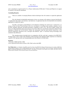such a amendment is required and (b) if so a Project Authorization (PAR) draft, 5 Criteria and Objectives in support of a project to develop the amendment.

## **Concluding Remarks:**

There are a number of emerging Ethernet related technologies that will continue to expand the application space.

First, the demand on bandwidth requirements at lower cost structure will continue to increase both directly, via applications that require such interfaces, and indirectly, for application that drive the bandwidth in the backbone, aggregation or enable new spaces.

Secondly, convergence around Ethernet as the ubiquitous technology for wired Layer 2 connectivity is as strong as it has ever been. From the home to the core, convergence is occurring in the consumer, enterprise, service provider, backhaul, datacenter and high performance computing to name a few. This drives higher volumes and lower cost while eliminating unnecessary protocol conversions. Moreover conventional connections within the home migrating to Ethernet are on the horizon. Finally, the convergence trend has gone beyond connectivity, as the network architectures themselves have converged with different "types" of networks having increasingly more similarities than differences.

The emerging projects described above in conjunction with the work that is ongoing in the IEEE 802.1 Working Group, such as Audio-Video Bridging (AVB) and Data Center Bridging (DCB), represent an evolutionary snapshot of the ongoing trends and emerging applications that Ethernet will help enable.

#### **Footnotes**

\* Now part of IEEE Std 802.3-2008 Views expressed in this article are those of Mr. Diab's and not the IEEE

**Wael William Daeb** is a Sr. Member of the IEEE, elected Vice-Chair of the IEEE 802.3 Ethernet Working Group and a member of IEEE-SA's Standards Board Committees. Wael is an IEEE published author for book "Ethernet in the First Mile: Access for Everyone" and holds BS and MS degrees in Electrical Engineering from Stanford University, a BA degree in Economics from Stanford, and an MBA with honors from the Wharton School of Business. He has numerous patents in the networking space.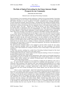# **The Role of Optical Networking for the Future Internet: Bright Prospects for our Community**

#### **Admela Jukan and Ashwin Gumaste**

## Editorial Letter to the Optical Networking Community

The development of next generation network architecture is fueled by the growing demands of upcoming applications requiring two new features: high bandwidth pipes with guaranteed service level agreements and flexible invocation of services irrespective of location, transmission and switching technologies. Towards meeting these demands, optical networking – encompassing Carrier Ethernet and WDM solutions, has been at the source of innovation in telecom in the last 10 years. Not only is it the key technology for the transformative wireline network design, but it has entered the wireless world addressing the capacity issues of the base station's "last mile". Ethernet over WDM has become a de facto standard solution for provisioning traffic in contemporary metro and access networks. It is further slated to dominate transport networks, which have traditionally been based on SONET/SDH systems. The replacement of SONET/SDH by Carrier Ethernet is a huge business opportunity in North America and Europe. In Asia, especially in China, India, Korea and Japan, Carrier Ethernet in conjunction with WDM is forming a bulk deployment.

Many future networking proposals not only suggest to route end-to-end at the lower layers instead of the IP layer, and but also assume participation of various players in the network evolution, including application developers, control platform operators, and transmission infrastructure owners. The trends to integrate the Internet into the carrier-grade infrastructure is not only attributed to the high CAPEX and OPEX of switching at the IP layer as compared to switching at the layers below, but also to the increasing demand to provide unified security and the control plane for both IP and carrier-grade world. There is no doubt that the next decade will see a mélange of Internet architectures embedded into high-bandwidth technologies and carrier-grade IT systems for control and management. This presents a big opportunity for our community to address and focus on.

The optical network community indeed is best equipped to lead the efforts towards the 21st century telecom architectural paradigm which can successfully address the issues pertaining to IP network evolution. Three major domains have emerged as distinctive areas of broad impact of the optical network technologies:

1) Data center networks, including the so-called Green Networking facilitated through the fiber based networks connecting remote locations close to the energy sources.

2) Global digital media networks, with the optical networks being the technology of choice for streaming of the high-definition media in the "cinema" quality

3) Convergence of IP and carrier-grade network infrastructure, where carriers are increasingly interested in understanding how these two networks can interoperate for leaner overall expenses, both in wireline and wireless worlds. Mobile backhaul and combined IP-Ethernet-optical video distribution are excellent examples of this major telecom domain.

We are seeing bright prospects for our community in making the true difference in the years to come. The optical network community has all reasons to be optimistic about this prospect, as we are witnessing a huge momentum in the industrial world, where integrated Ethernet/WDM boxes are coming out of age as reported by dozen of vendors; where carriers are consolidating their networks trying to find way to control and manage a converged "packet-circuit" world; where the research community is participating in the most exciting development in the wireline industry since the telecom boom in the nineties.

There is a note of caution though – which if left unchecked has the potential for our community to loose at the very business which defines us! Given the quantum of deployment and development that we expect, it is only natural that IP world communities will try to claim Ethernet switching as a mere extension of routing. It is here that the optical community has to display leadership in embracing Ethernet switching, Carrier Ethernet, multi-service transport, data-centers, and massive media distribution as our own efforts. And, indeed these are our efforts. High-speed Ethernet interfaces are optical! Energy efficiency is at its maximum when data continues in the optical domain. Highly virtualized data center cores are almost exclusively connected, controlled and created using photonic cross-connects. 4k/8k digital media streaming is only possible over optical networks. Etc. We have to hence as a community broaden our vision and absorb, assimilate these new areas of growth. We have to realize that if we continue to harp in the olden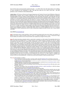days for first and second generation optical networks – we will be left to face the depreciation of everything we have invented in our community to date. The time has come for us to turn a new leaf – one that promises a true revolution in telecommunications.

**Admela Jukan** is W3 Professor of Electrical and Computer Engineering at the Technical University Carolo-Wilhelmina of Brunswick (Braunschweig) in Germany. Prior to coming to Brunswick, she was research faculty at the Institut National de la Recherche Scientifique (INRS), University of Illinois at Urbana Champaign (UIUC) and Georgia Tech (GaTech). From 2002-2004, she served as Program Director in Computer and Networks System Research at the National Science Foundation (NSF) in Arlington, VA. While at NSF, she was responsible for funding and coordinating US-wide university research and education activities in the area of network technologies and systems. During her NSF tenure she initiated two research community activities and workshops: *Fundamental Research in Networking* and *Residential Broadband Revisited: Research Challenges in Residential Networks, Broadband Access, and Applications*. She received the M.Sc. degree in Information Technologies and Computer Science from the Polytechnic of Milan, Italy, and the Ph.D. degree (cum laude) in Electrical and Computer Engineering from the Vienna University of Technology (TU Wien) in Austria. She received her *B.Sc.* degree from Univ. of Zagreb (Croatia) and she also holds an habilitation degree (*venia legendi*) from the TU Wien. Dr. Jukan is the author of numerous papers in the field of networking, and she has authored and edited several books. She serves as a member of the External Advisory Board of the EU Network of Excellence BONE. Dr. Jukan has chaired and cochaired several international conferences, including IFIP ONDM, IEEE ICC and IEEE GLOBECOM. She serves as Associate Technical Editor for IEEE Communications Surveys, IEEE Communications Magazine and IEEE Network. She is a Senior Member of the IEEE.

#### *About PRISM (www.ontc-prism.org)*

*Aim***:** To disseminate relevant content pertaining to optical networking and related growth areas across industry and academia. To promote the growth of optical networking activity by creation of a unified knowledge base. To create a communication bridge between industry and academia in terms of research frontiers and complementary strategies for future growth.

**Scope**: The optical networking community stands at a point where its potential is not fully realized. The bandwidth offered by the fiber at price points that currently prevail is a fantastic business case for Internet services for providers the world over. Optical networking has transcended itself from a point-to-point communication service to a WDM based multi-point granular networking hierarchy. This journey was made possible through successful and important innovations in the optics and networking domain, bringing together a rich technology set for deployment in telecommunication networks. It would be fair to say that without optical networking, the scope of the Internet would not reach its global scale that it has presently reached. In the future, optical networking has the potential to impact the telecom world through new innovations in architecture, protocol and devices that would lead to new service offerings impacting human lives. Amongst these futuristic offerings are cloud computing, energy efficient systems, datacenters, 100 Gigabit Ethernet, WDM PON, multi-point communication systems, sub-wavelength grooming and transparent ROADMbased services. It is clear, and especially pronounced in Asia and parts of Europe that optical networking will play a very important role in the design of future networks. Whether it is the GENI project in the US or the Akari in Japan – optical networking finds a clear way into technological offerings for the future of the telecommunication industry. From a historical perspective, optical networking has offered significantly to the telecom industry – we distinctly note that after the telecommunication bubble burst, it was the area of metropolitan networks that led to the re-bounce of telecommunications the world over. It is always important to highlight such historical perspectives from industry leaders and pioneers to bring the optical community closer. We continue to exploit the latest advances in this area of telecommunications – delving on the research and development of optical networking solutions.

The scope of the newsletter is as follows:

- A forum that brings the optical networking community together, through leadership articles in technology and research.
- Bring to the fore issues that both industry and academia are working on, with the focus of being able to minimize this gap through interaction via the newsletter forum.
- Highlight important events related to the area of optical networking, in particular focus on consortiums, projects, awards, seminal breakthroughs, standards and industry related information.
- Research: Focus on research issues pertaining to optical networking. Showcase key growth areas (like data centers, metro ROADMs, 100GE, etc.).
- Consortiums and Projects: Focus on consortiums and projects relevant to optical networking, in which the primary entities are research focused (non-profit groups like universities etc.)
- Developing Economies: Focus on emerging economies and the networks there.
- Standardization activity: The newsletter will periodically discuss standard related activities especially when new drafts are circulated or a standard in form of an MSA is accepted. A standard pioneer will be invited to write about the standard. Our focus will be on the IEEE 802 working group, the ITU groups and FSAN groups in terms of coverage.
- Industry information: latest *technical* happenings will be reported from the industry. These will be critically based on demonstrations at international tradeshows such as OFC, ECOC and World Broadband Forum. Care will be taken not to report any company specific information and ensure vendor neutrality in the newsletter.
- Service provider focus: Since a key consumption point of our industry are service providers, it is most important to focus a section of the newsletter on them. We will in every newsletter focus on the latest happenings in the provider space – whether it is adoption of new technologies or new deployments or even network designs, we will cover these through neutral writings. In particular, we will ensure that no names are taken in the coverage, making it generic – for example, "a select provider in the North America has decided to deploy ROADM technology using WSS cross-connects [source]..'
- Periodically create a roadmap of technologies in different domains pertaining to optical networking. The roadmap would be a team effort by multiple experts in association with the editor.